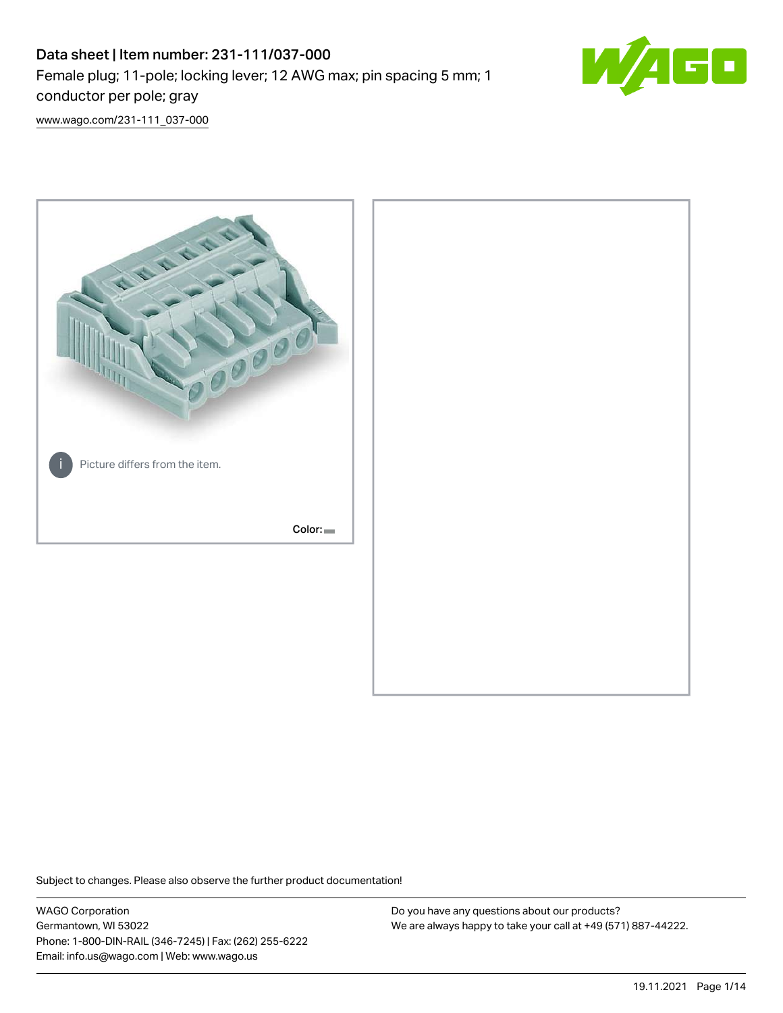# Data sheet | Item number: 231-111/037-000 Female plug; 11-pole; locking lever; 12 AWG max; pin spacing 5 mm; 1 conductor per pole; gray



[www.wago.com/231-111\\_037-000](http://www.wago.com/231-111_037-000)



Subject to changes. Please also observe the further product documentation!

WAGO Corporation Germantown, WI 53022 Phone: 1-800-DIN-RAIL (346-7245) | Fax: (262) 255-6222 Email: info.us@wago.com | Web: www.wago.us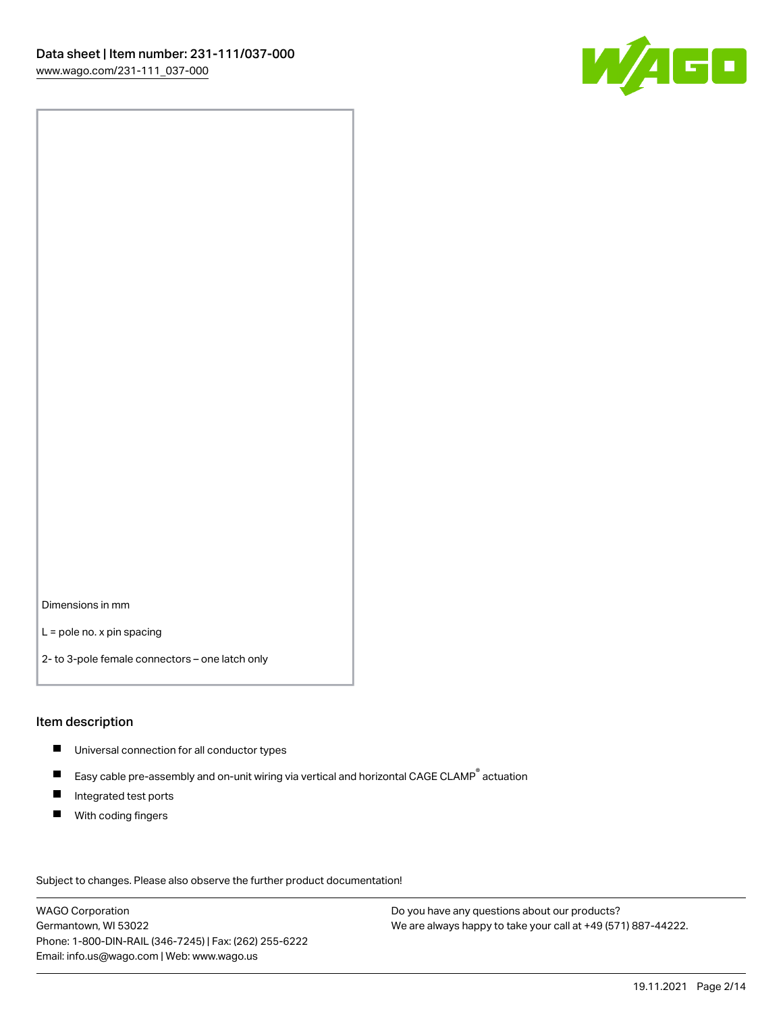

Dimensions in mm

L = pole no. x pin spacing

2- to 3-pole female connectors – one latch only

#### Item description

- **Universal connection for all conductor types**
- Easy cable pre-assembly and on-unit wiring via vertical and horizontal CAGE CLAMP<sup>®</sup> actuation  $\blacksquare$
- $\blacksquare$ Integrated test ports
- $\blacksquare$ With coding fingers

Subject to changes. Please also observe the further product documentation! Data

WAGO Corporation Germantown, WI 53022 Phone: 1-800-DIN-RAIL (346-7245) | Fax: (262) 255-6222 Email: info.us@wago.com | Web: www.wago.us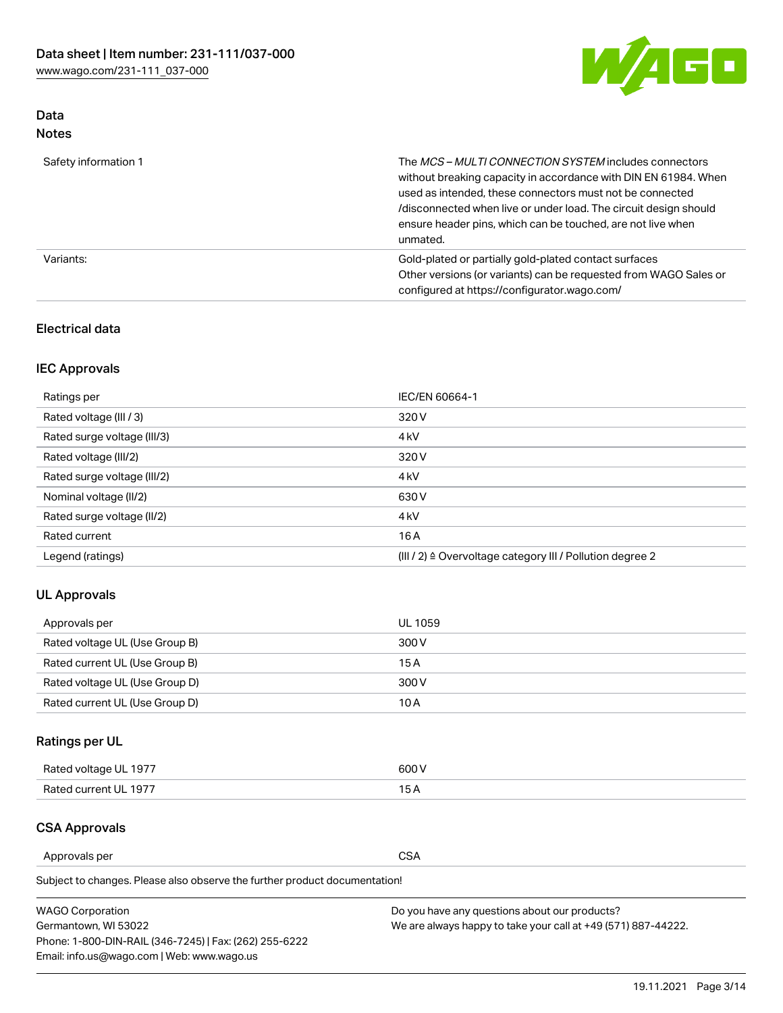

## Data Notes

| Safety information 1 | The <i>MCS – MULTI CONNECTION SYSTEM</i> includes connectors<br>without breaking capacity in accordance with DIN EN 61984. When<br>used as intended, these connectors must not be connected<br>/disconnected when live or under load. The circuit design should<br>ensure header pins, which can be touched, are not live when<br>unmated. |
|----------------------|--------------------------------------------------------------------------------------------------------------------------------------------------------------------------------------------------------------------------------------------------------------------------------------------------------------------------------------------|
| Variants:            | Gold-plated or partially gold-plated contact surfaces<br>Other versions (or variants) can be requested from WAGO Sales or<br>configured at https://configurator.wago.com/                                                                                                                                                                  |

## Electrical data

## IEC Approvals

| Ratings per                 | IEC/EN 60664-1                                                        |
|-----------------------------|-----------------------------------------------------------------------|
| Rated voltage (III / 3)     | 320 V                                                                 |
| Rated surge voltage (III/3) | 4 <sub>k</sub> V                                                      |
| Rated voltage (III/2)       | 320 V                                                                 |
| Rated surge voltage (III/2) | 4 <sub>k</sub> V                                                      |
| Nominal voltage (II/2)      | 630 V                                                                 |
| Rated surge voltage (II/2)  | 4 <sub>k</sub> V                                                      |
| Rated current               | 16A                                                                   |
| Legend (ratings)            | $(III / 2)$ $\triangle$ Overvoltage category III / Pollution degree 2 |

## UL Approvals

| Approvals per                  | UL 1059 |
|--------------------------------|---------|
| Rated voltage UL (Use Group B) | 300 V   |
| Rated current UL (Use Group B) | 15 A    |
| Rated voltage UL (Use Group D) | 300 V   |
| Rated current UL (Use Group D) | 10 A    |

## Ratings per UL

| Rated voltage UL 1977 | 600 V         |
|-----------------------|---------------|
| Rated current UL 1977 | $\sim$ $\sim$ |

## CSA Approvals

Approvals per CSA

Subject to changes. Please also observe the further product documentation!

| <b>WAGO Corporation</b>                                | Do you have any questions about our products?                 |
|--------------------------------------------------------|---------------------------------------------------------------|
| Germantown, WI 53022                                   | We are always happy to take your call at +49 (571) 887-44222. |
| Phone: 1-800-DIN-RAIL (346-7245)   Fax: (262) 255-6222 |                                                               |
| Email: info.us@wago.com   Web: www.wago.us             |                                                               |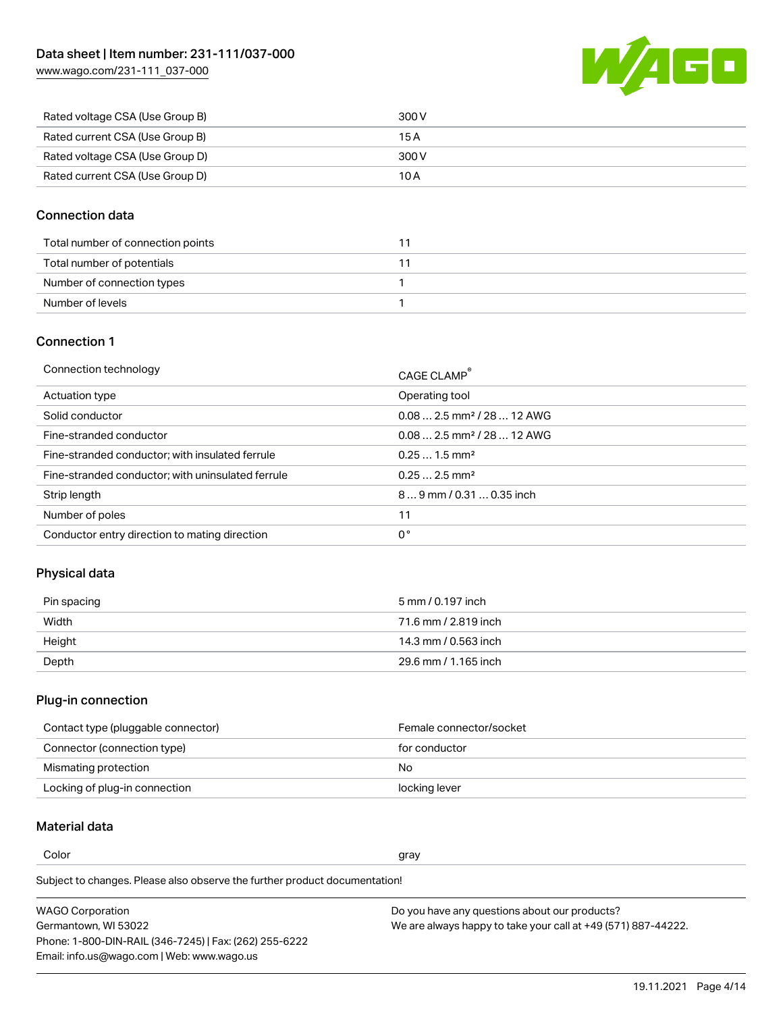[www.wago.com/231-111\\_037-000](http://www.wago.com/231-111_037-000)



| Rated voltage CSA (Use Group B) | 300 V |
|---------------------------------|-------|
| Rated current CSA (Use Group B) | 15 A  |
| Rated voltage CSA (Use Group D) | 300 V |
| Rated current CSA (Use Group D) | 10 A  |

## Connection data

| Total number of connection points |  |
|-----------------------------------|--|
| Total number of potentials        |  |
| Number of connection types        |  |
| Number of levels                  |  |

## Connection 1

| Connection technology                             | CAGE CLAMP <sup>®</sup>                |
|---------------------------------------------------|----------------------------------------|
| Actuation type                                    | Operating tool                         |
| Solid conductor                                   | $0.082.5$ mm <sup>2</sup> / 28  12 AWG |
| Fine-stranded conductor                           | $0.082.5$ mm <sup>2</sup> / 28  12 AWG |
| Fine-stranded conductor; with insulated ferrule   | $0.251.5$ mm <sup>2</sup>              |
| Fine-stranded conductor; with uninsulated ferrule | $0.252.5$ mm <sup>2</sup>              |
| Strip length                                      | 89 mm / 0.31  0.35 inch                |
| Number of poles                                   | 11                                     |
| Conductor entry direction to mating direction     | 0°                                     |
|                                                   |                                        |

## Physical data

| Pin spacing | 5 mm / 0.197 inch    |
|-------------|----------------------|
| Width       | 71.6 mm / 2.819 inch |
| Height      | 14.3 mm / 0.563 inch |
| Depth       | 29.6 mm / 1.165 inch |

## Plug-in connection

| Contact type (pluggable connector) | Female connector/socket |
|------------------------------------|-------------------------|
| Connector (connection type)        | for conductor           |
| Mismating protection               | No.                     |
| Locking of plug-in connection      | locking lever           |

## Material data

Color and the color of the color of the color of the color of the color of the color of the color of the color

Subject to changes. Please also observe the further product documentation! Material group I

| <b>WAGO Corporation</b>                                | Do you have any questions about our products?                 |
|--------------------------------------------------------|---------------------------------------------------------------|
| Germantown, WI 53022                                   | We are always happy to take your call at +49 (571) 887-44222. |
| Phone: 1-800-DIN-RAIL (346-7245)   Fax: (262) 255-6222 |                                                               |
| Email: info.us@wago.com   Web: www.wago.us             |                                                               |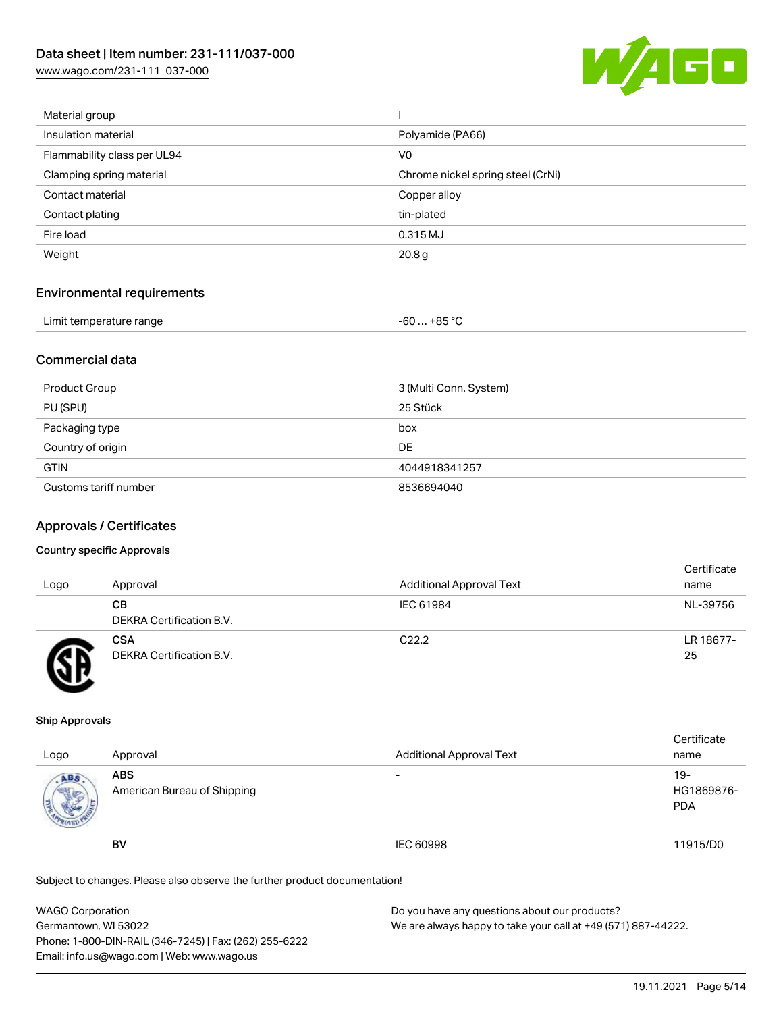[www.wago.com/231-111\\_037-000](http://www.wago.com/231-111_037-000)



| Material group              |                                   |
|-----------------------------|-----------------------------------|
| Insulation material         | Polyamide (PA66)                  |
| Flammability class per UL94 | V0                                |
| Clamping spring material    | Chrome nickel spring steel (CrNi) |
| Contact material            | Copper alloy                      |
| Contact plating             | tin-plated                        |
| Fire load                   | 0.315 MJ                          |
| Weight                      | 20.8 <sub>g</sub>                 |
|                             |                                   |

## Environmental requirements

| Limit temperature range | $-60+85 °C$ |  |
|-------------------------|-------------|--|
|-------------------------|-------------|--|

## Commercial data

| Product Group         | 3 (Multi Conn. System) |
|-----------------------|------------------------|
| PU (SPU)              | 25 Stück               |
| Packaging type        | box                    |
| Country of origin     | DE                     |
| <b>GTIN</b>           | 4044918341257          |
| Customs tariff number | 8536694040             |

#### Approvals / Certificates

#### Country specific Approvals

| Logo | Approval                               | <b>Additional Approval Text</b> | Certificate<br>name |
|------|----------------------------------------|---------------------------------|---------------------|
|      | CВ<br>DEKRA Certification B.V.         | IEC 61984                       | NL-39756            |
|      | <b>CSA</b><br>DEKRA Certification B.V. | C <sub>22.2</sub>               | LR 18677-<br>25     |

#### Ship Approvals

| Logo                | Approval                                  | <b>Additional Approval Text</b> | Certificate<br>name             |
|---------------------|-------------------------------------------|---------------------------------|---------------------------------|
| ABS<br><b>SALES</b> | <b>ABS</b><br>American Bureau of Shipping | $\overline{\phantom{0}}$        | 19-<br>HG1869876-<br><b>PDA</b> |
|                     | <b>BV</b>                                 | <b>IEC 60998</b>                | 11915/D0                        |

Subject to changes. Please also observe the further product documentation!

| <b>WAGO Corporation</b>                                | Do you have any questions about our products?                 |
|--------------------------------------------------------|---------------------------------------------------------------|
| Germantown, WI 53022                                   | We are always happy to take your call at +49 (571) 887-44222. |
| Phone: 1-800-DIN-RAIL (346-7245)   Fax: (262) 255-6222 |                                                               |
| Email: info.us@wago.com   Web: www.wago.us             |                                                               |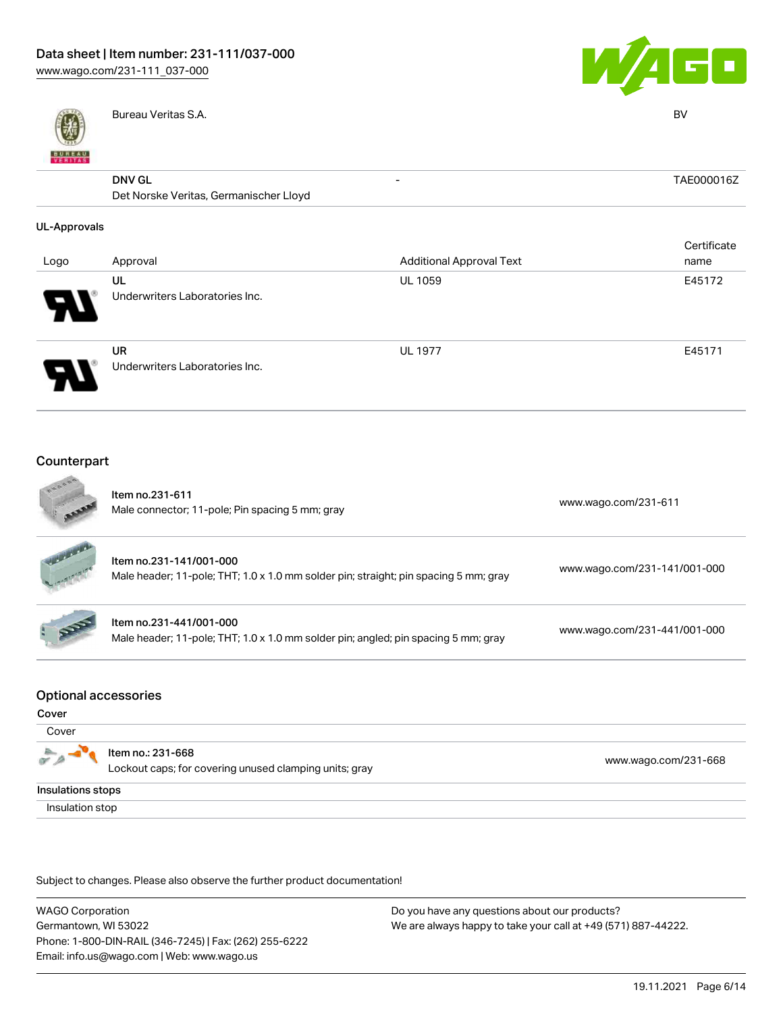

Bureau Veritas S.A. BV



|                     | _ _ _ _ _ _ _ _ _ _ _ _ _ _ _ _                         |                                 | - -         |
|---------------------|---------------------------------------------------------|---------------------------------|-------------|
| <b>BUREAU</b>       |                                                         |                                 |             |
|                     | <b>DNV GL</b><br>Det Norske Veritas, Germanischer Lloyd | $\overline{\phantom{0}}$        | TAE000016Z  |
| <b>UL-Approvals</b> |                                                         |                                 |             |
|                     |                                                         |                                 | Certificate |
| Logo                | Approval                                                | <b>Additional Approval Text</b> | name        |
|                     | UL                                                      | <b>UL 1059</b>                  | E45172      |
|                     | Underwriters Laboratories Inc.                          |                                 |             |
|                     | UR                                                      | <b>UL 1977</b>                  | E45171      |
|                     | Underwriters Laboratories Inc.                          |                                 |             |
| Counternart         |                                                         |                                 |             |

| Counterpart |  |
|-------------|--|
|             |  |

|                                      | Item no.231-611<br>Male connector; 11-pole; Pin spacing 5 mm; gray                                              | www.wago.com/231-611         |
|--------------------------------------|-----------------------------------------------------------------------------------------------------------------|------------------------------|
|                                      | Item no.231-141/001-000<br>Male header; 11-pole; THT; 1.0 x 1.0 mm solder pin; straight; pin spacing 5 mm; gray | www.wago.com/231-141/001-000 |
|                                      | Item no.231-441/001-000<br>Male header; 11-pole; THT; 1.0 x 1.0 mm solder pin; angled; pin spacing 5 mm; gray   | www.wago.com/231-441/001-000 |
| <b>Optional accessories</b><br>Cover |                                                                                                                 |                              |
| Cover                                |                                                                                                                 |                              |
|                                      | Item no.: 231-668                                                                                               | $1001 - 001$                 |

Lockout caps; for covering unused clamping units; gray [www.wago.com/231-668](http://www.wago.com/231-668) 命 Insulations stops Insulation stop

Subject to changes. Please also observe the further product documentation!

WAGO Corporation Germantown, WI 53022 Phone: 1-800-DIN-RAIL (346-7245) | Fax: (262) 255-6222 Email: info.us@wago.com | Web: www.wago.us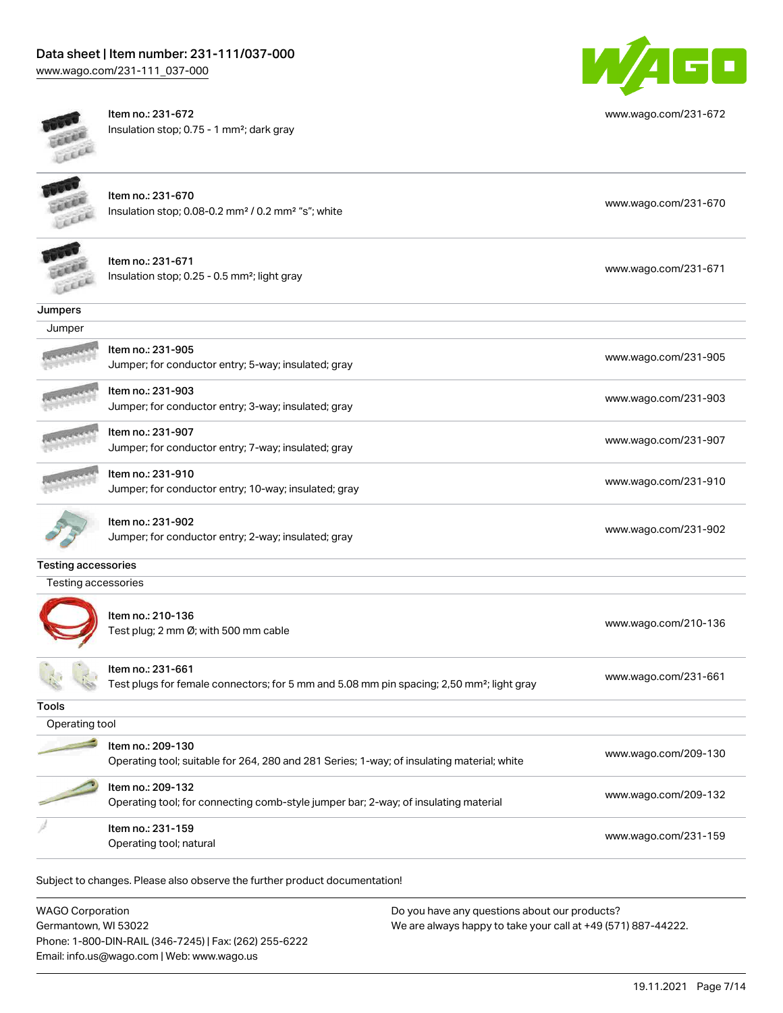# Data sheet | Item number: 231-111/037-000

[www.wago.com/231-111\\_037-000](http://www.wago.com/231-111_037-000)



Item no.: 231-672 Insulation stop; 0.75 - 1 mm²; dark gray



[www.wago.com/231-672](http://www.wago.com/231-672)



Item no.: 231-670 Insulation stop; 0.08-0.2 mm<sup>2</sup> / 0.2 mm<sup>2</sup> "s"; white [www.wago.com/231-670](http://www.wago.com/231-670) www.wago.com/231-670



Item no.: 231-671 Insulation stop; 0.25 - 0.5 mm²; light gray [www.wago.com/231-671](http://www.wago.com/231-671) www.wago.com/231-671

**Jumpers** 



Item no.: 231-905 Jumper; for conductor entry; 5-way; insulated; gray [www.wago.com/231-905](http://www.wago.com/231-905)

Item no.: 231-903

Item no.: 231-910



Item no.: 231-907 Jumper; for conductor entry; 7-way; insulated; gray [www.wago.com/231-907](http://www.wago.com/231-907)



Item no.: 231-902

Jumper; for conductor entry; 2-way; insulated; gray [www.wago.com/231-902](http://www.wago.com/231-902)

#### Testing accessories

Testing accessories



Item no.: 210-136 ntem no. 210 100<br>Test plug; 2 mm Ø; with 500 mm cable [www.wago.com/210-136](http://www.wago.com/210-136)

Item no.: 231-661 Test plugs for female connectors; for 5 mm and 5.08 mm pin spacing; 2,50 mm²; light gray [www.wago.com/231-661](http://www.wago.com/231-661)

Jumper; for conductor entry; 3-way; insulated; gray [www.wago.com/231-903](http://www.wago.com/231-903)

Jumper; for conductor entry; 10-way; insulated; gray [www.wago.com/231-910](http://www.wago.com/231-910)

Tools

| Operating tool |                                                                                                                 |                      |
|----------------|-----------------------------------------------------------------------------------------------------------------|----------------------|
|                | Item no.: 209-130<br>Operating tool; suitable for 264, 280 and 281 Series; 1-way; of insulating material; white | www.wago.com/209-130 |
|                | Item no.: 209-132<br>Operating tool; for connecting comb-style jumper bar; 2-way; of insulating material        | www.wago.com/209-132 |
|                | Item no.: 231-159<br>Operating tool; natural                                                                    | www.wago.com/231-159 |

Subject to changes. Please also observe the further product documentation!

WAGO Corporation Germantown, WI 53022 Phone: 1-800-DIN-RAIL (346-7245) | Fax: (262) 255-6222 Email: info.us@wago.com | Web: www.wago.us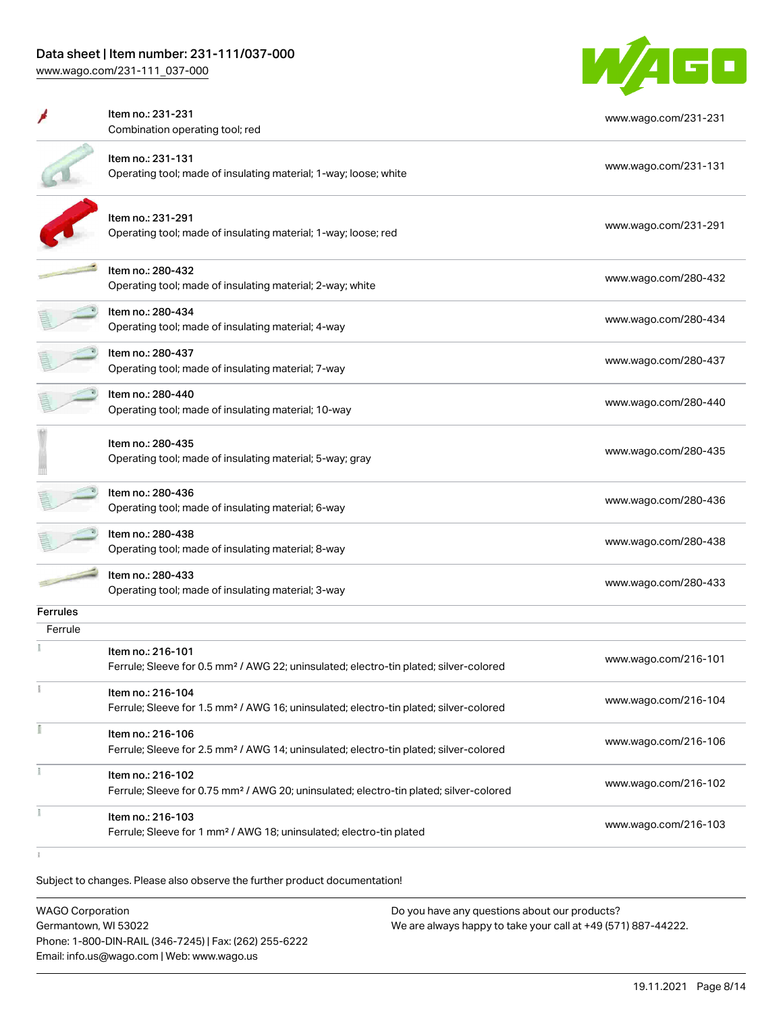## Data sheet | Item number: 231-111/037-000

[www.wago.com/231-111\\_037-000](http://www.wago.com/231-111_037-000)



|                 | Item no.: 231-231<br>Combination operating tool; red                                                                    | www.wago.com/231-231 |
|-----------------|-------------------------------------------------------------------------------------------------------------------------|----------------------|
|                 | Item no.: 231-131<br>Operating tool; made of insulating material; 1-way; loose; white                                   | www.wago.com/231-131 |
|                 | Item no.: 231-291<br>Operating tool; made of insulating material; 1-way; loose; red                                     | www.wago.com/231-291 |
|                 | Item no.: 280-432<br>Operating tool; made of insulating material; 2-way; white                                          | www.wago.com/280-432 |
|                 | Item no.: 280-434<br>Operating tool; made of insulating material; 4-way                                                 | www.wago.com/280-434 |
|                 | ltem no.: 280-437<br>Operating tool; made of insulating material; 7-way                                                 | www.wago.com/280-437 |
|                 | Item no.: 280-440<br>Operating tool; made of insulating material; 10-way                                                | www.wago.com/280-440 |
|                 | Item no.: 280-435<br>Operating tool; made of insulating material; 5-way; gray                                           | www.wago.com/280-435 |
|                 | Item no.: 280-436<br>Operating tool; made of insulating material; 6-way                                                 | www.wago.com/280-436 |
|                 | ltem no.: 280-438<br>Operating tool; made of insulating material; 8-way                                                 | www.wago.com/280-438 |
|                 | Item no.: 280-433<br>Operating tool; made of insulating material; 3-way                                                 | www.wago.com/280-433 |
| <b>Ferrules</b> |                                                                                                                         |                      |
| Ferrule         | Item no.: 216-101<br>Ferrule; Sleeve for 0.5 mm <sup>2</sup> / AWG 22; uninsulated; electro-tin plated; silver-colored  | www.wago.com/216-101 |
| ī               | Item no.: 216-104<br>Ferrule; Sleeve for 1.5 mm <sup>2</sup> / AWG 16; uninsulated; electro-tin plated; silver-colored  | www.wago.com/216-104 |
|                 | Item no.: 216-106<br>Ferrule; Sleeve for 2.5 mm <sup>2</sup> / AWG 14; uninsulated; electro-tin plated; silver-colored  | www.wago.com/216-106 |
| Ĭ.              | Item no.: 216-102<br>Ferrule; Sleeve for 0.75 mm <sup>2</sup> / AWG 20; uninsulated; electro-tin plated; silver-colored | www.wago.com/216-102 |
|                 | Item no.: 216-103<br>Ferrule; Sleeve for 1 mm <sup>2</sup> / AWG 18; uninsulated; electro-tin plated                    | www.wago.com/216-103 |
|                 |                                                                                                                         |                      |

Subject to changes. Please also observe the further product documentation!

| <b>WAGO Corporation</b>                                | Do you have any questions about our products?                 |
|--------------------------------------------------------|---------------------------------------------------------------|
| Germantown, WI 53022                                   | We are always happy to take your call at +49 (571) 887-44222. |
| Phone: 1-800-DIN-RAIL (346-7245)   Fax: (262) 255-6222 |                                                               |
| Email: info.us@wago.com   Web: www.wago.us             |                                                               |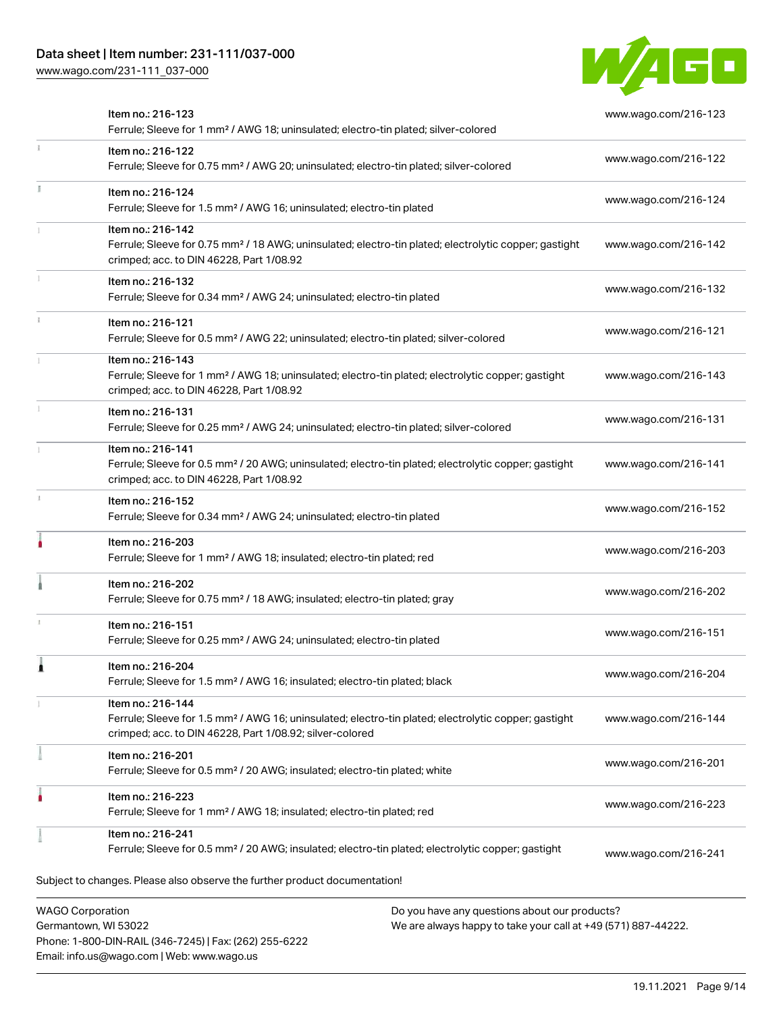Phone: 1-800-DIN-RAIL (346-7245) | Fax: (262) 255-6222

Email: info.us@wago.com | Web: www.wago.us

[www.wago.com/231-111\\_037-000](http://www.wago.com/231-111_037-000)



| Item no.: 216-123<br>Ferrule; Sleeve for 1 mm <sup>2</sup> / AWG 18; uninsulated; electro-tin plated; silver-colored                                                                              | www.wago.com/216-123 |
|---------------------------------------------------------------------------------------------------------------------------------------------------------------------------------------------------|----------------------|
| Item no.: 216-122<br>Ferrule; Sleeve for 0.75 mm <sup>2</sup> / AWG 20; uninsulated; electro-tin plated; silver-colored                                                                           | www.wago.com/216-122 |
| Item no.: 216-124<br>Ferrule; Sleeve for 1.5 mm <sup>2</sup> / AWG 16; uninsulated; electro-tin plated                                                                                            | www.wago.com/216-124 |
| Item no.: 216-142<br>Ferrule; Sleeve for 0.75 mm <sup>2</sup> / 18 AWG; uninsulated; electro-tin plated; electrolytic copper; gastight<br>crimped; acc. to DIN 46228, Part 1/08.92                | www.wago.com/216-142 |
| Item no.: 216-132<br>Ferrule; Sleeve for 0.34 mm <sup>2</sup> / AWG 24; uninsulated; electro-tin plated                                                                                           | www.wago.com/216-132 |
| Item no.: 216-121<br>Ferrule; Sleeve for 0.5 mm <sup>2</sup> / AWG 22; uninsulated; electro-tin plated; silver-colored                                                                            | www.wago.com/216-121 |
| Item no.: 216-143<br>Ferrule; Sleeve for 1 mm <sup>2</sup> / AWG 18; uninsulated; electro-tin plated; electrolytic copper; gastight<br>crimped; acc. to DIN 46228, Part 1/08.92                   | www.wago.com/216-143 |
| Item no.: 216-131<br>Ferrule; Sleeve for 0.25 mm <sup>2</sup> / AWG 24; uninsulated; electro-tin plated; silver-colored                                                                           | www.wago.com/216-131 |
| Item no.: 216-141<br>Ferrule; Sleeve for 0.5 mm <sup>2</sup> / 20 AWG; uninsulated; electro-tin plated; electrolytic copper; gastight<br>crimped; acc. to DIN 46228, Part 1/08.92                 | www.wago.com/216-141 |
| Item no.: 216-152<br>Ferrule; Sleeve for 0.34 mm <sup>2</sup> / AWG 24; uninsulated; electro-tin plated                                                                                           | www.wago.com/216-152 |
| Item no.: 216-203<br>Ferrule; Sleeve for 1 mm <sup>2</sup> / AWG 18; insulated; electro-tin plated; red                                                                                           | www.wago.com/216-203 |
| Item no.: 216-202<br>Ferrule; Sleeve for 0.75 mm <sup>2</sup> / 18 AWG; insulated; electro-tin plated; gray                                                                                       | www.wago.com/216-202 |
| Item no.: 216-151<br>Ferrule; Sleeve for 0.25 mm <sup>2</sup> / AWG 24; uninsulated; electro-tin plated                                                                                           | www.wago.com/216-151 |
| Item no.: 216-204<br>Ferrule; Sleeve for 1.5 mm <sup>2</sup> / AWG 16; insulated; electro-tin plated; black                                                                                       | www.wago.com/216-204 |
| Item no.: 216-144<br>Ferrule; Sleeve for 1.5 mm <sup>2</sup> / AWG 16; uninsulated; electro-tin plated; electrolytic copper; gastight<br>crimped; acc. to DIN 46228, Part 1/08.92; silver-colored | www.wago.com/216-144 |
| Item no.: 216-201<br>Ferrule; Sleeve for 0.5 mm <sup>2</sup> / 20 AWG; insulated; electro-tin plated; white                                                                                       | www.wago.com/216-201 |
| Item no.: 216-223<br>Ferrule; Sleeve for 1 mm <sup>2</sup> / AWG 18; insulated; electro-tin plated; red                                                                                           | www.wago.com/216-223 |
| Item no.: 216-241<br>Ferrule; Sleeve for 0.5 mm <sup>2</sup> / 20 AWG; insulated; electro-tin plated; electrolytic copper; gastight                                                               | www.wago.com/216-241 |
| Subject to changes. Please also observe the further product documentation!                                                                                                                        |                      |
| <b>WAGO Corporation</b><br>Do you have any questions about our products?<br>Germantown, WI 53022<br>We are always happy to take your call at +49 (571) 887-44222.                                 |                      |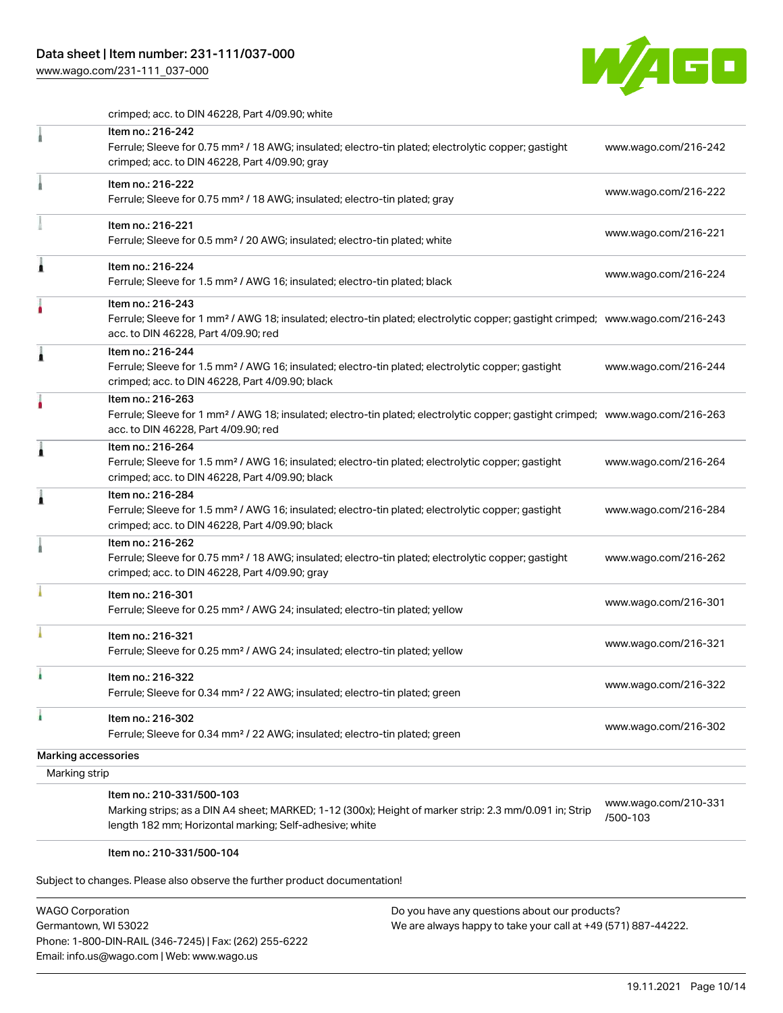## Data sheet | Item number: 231-111/037-000

[www.wago.com/231-111\\_037-000](http://www.wago.com/231-111_037-000)



crimped; acc. to DIN 46228, Part 4/09.90; white

|                     | Item no.: 216-242<br>Ferrule; Sleeve for 0.75 mm <sup>2</sup> / 18 AWG; insulated; electro-tin plated; electrolytic copper; gastight<br>crimped; acc. to DIN 46228, Part 4/09.90; gray                  | www.wago.com/216-242             |
|---------------------|---------------------------------------------------------------------------------------------------------------------------------------------------------------------------------------------------------|----------------------------------|
|                     | Item no.: 216-222<br>Ferrule; Sleeve for 0.75 mm <sup>2</sup> / 18 AWG; insulated; electro-tin plated; gray                                                                                             | www.wago.com/216-222             |
|                     | Item no.: 216-221<br>Ferrule; Sleeve for 0.5 mm <sup>2</sup> / 20 AWG; insulated; electro-tin plated; white                                                                                             | www.wago.com/216-221             |
| Â                   | Item no.: 216-224<br>Ferrule; Sleeve for 1.5 mm <sup>2</sup> / AWG 16; insulated; electro-tin plated; black                                                                                             | www.wago.com/216-224             |
|                     | Item no.: 216-243<br>Ferrule; Sleeve for 1 mm <sup>2</sup> / AWG 18; insulated; electro-tin plated; electrolytic copper; gastight crimped; www.wago.com/216-243<br>acc. to DIN 46228, Part 4/09.90; red |                                  |
| Â                   | Item no.: 216-244<br>Ferrule; Sleeve for 1.5 mm <sup>2</sup> / AWG 16; insulated; electro-tin plated; electrolytic copper; gastight<br>crimped; acc. to DIN 46228, Part 4/09.90; black                  | www.wago.com/216-244             |
|                     | Item no.: 216-263<br>Ferrule; Sleeve for 1 mm <sup>2</sup> / AWG 18; insulated; electro-tin plated; electrolytic copper; gastight crimped; www.wago.com/216-263<br>acc. to DIN 46228, Part 4/09.90; red |                                  |
| Â                   | Item no.: 216-264<br>Ferrule; Sleeve for 1.5 mm <sup>2</sup> / AWG 16; insulated; electro-tin plated; electrolytic copper; gastight<br>crimped; acc. to DIN 46228, Part 4/09.90; black                  | www.wago.com/216-264             |
| Â                   | Item no.: 216-284<br>Ferrule; Sleeve for 1.5 mm <sup>2</sup> / AWG 16; insulated; electro-tin plated; electrolytic copper; gastight<br>crimped; acc. to DIN 46228, Part 4/09.90; black                  | www.wago.com/216-284             |
|                     | Item no.: 216-262<br>Ferrule; Sleeve for 0.75 mm <sup>2</sup> / 18 AWG; insulated; electro-tin plated; electrolytic copper; gastight<br>crimped; acc. to DIN 46228, Part 4/09.90; gray                  | www.wago.com/216-262             |
|                     | Item no.: 216-301<br>Ferrule; Sleeve for 0.25 mm <sup>2</sup> / AWG 24; insulated; electro-tin plated; yellow                                                                                           | www.wago.com/216-301             |
|                     | Item no.: 216-321<br>Ferrule; Sleeve for 0.25 mm <sup>2</sup> / AWG 24; insulated; electro-tin plated; yellow                                                                                           | www.wago.com/216-321             |
|                     | Item no.: 216-322<br>Ferrule; Sleeve for 0.34 mm <sup>2</sup> / 22 AWG; insulated; electro-tin plated; green                                                                                            | www.wago.com/216-322             |
| ì.                  | Item no.: 216-302<br>Ferrule; Sleeve for 0.34 mm <sup>2</sup> / 22 AWG; insulated; electro-tin plated; green                                                                                            | www.wago.com/216-302             |
| Marking accessories |                                                                                                                                                                                                         |                                  |
| Marking strip       |                                                                                                                                                                                                         |                                  |
|                     | Item no.: 210-331/500-103<br>Marking strips; as a DIN A4 sheet; MARKED; 1-12 (300x); Height of marker strip: 2.3 mm/0.091 in; Strip<br>length 182 mm; Horizontal marking; Self-adhesive; white          | www.wago.com/210-331<br>/500-103 |

#### Item no.: 210-331/500-104

Subject to changes. Please also observe the further product documentation!

| <b>WAGO Corporation</b>                                |
|--------------------------------------------------------|
| Germantown, WI 53022                                   |
| Phone: 1-800-DIN-RAIL (346-7245)   Fax: (262) 255-6222 |
| Email: info.us@wago.com   Web: www.wago.us             |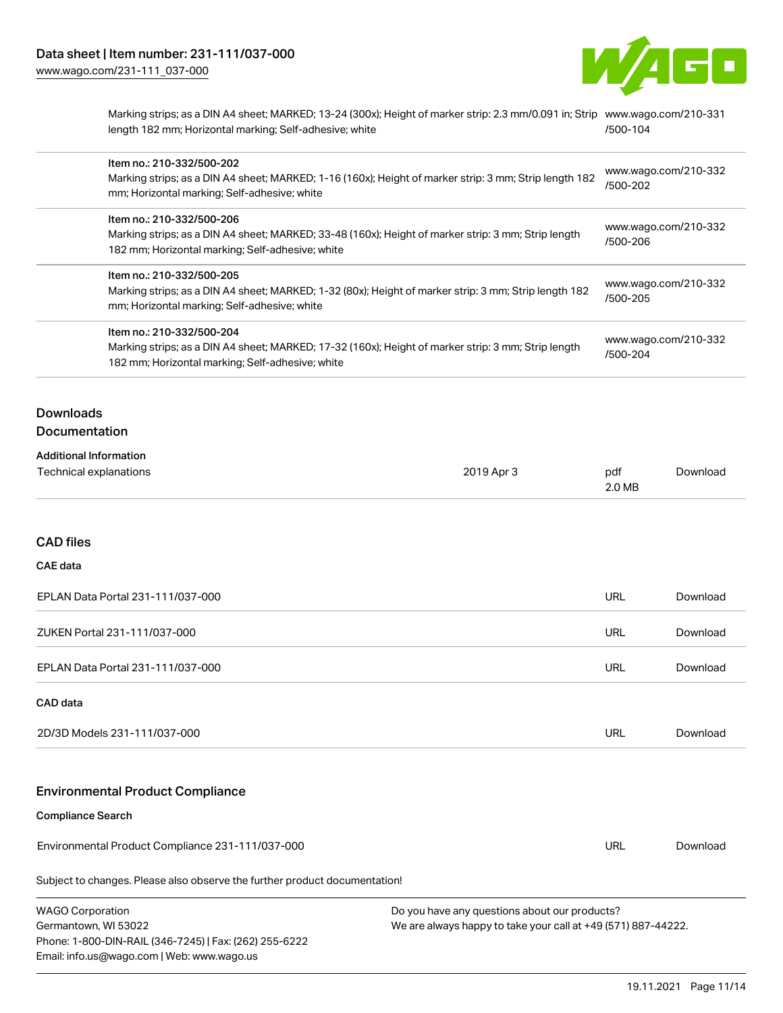

Marking strips; as a DIN A4 sheet; MARKED; 13-24 (300x); Height of marker strip: 2.3 mm/0.091 in; Strip [www.wago.com/210-331](http://www.wago.com/210-331/500-104) length 182 mm; Horizontal marking; Self-adhesive; white [/500-104](http://www.wago.com/210-331/500-104)

| Item no.: 210-332/500-202<br>Marking strips; as a DIN A4 sheet; MARKED; 1-16 (160x); Height of marker strip: 3 mm; Strip length 182<br>mm; Horizontal marking; Self-adhesive; white  | www.wago.com/210-332<br>/500-202 |
|--------------------------------------------------------------------------------------------------------------------------------------------------------------------------------------|----------------------------------|
| Item no.: 210-332/500-206<br>Marking strips; as a DIN A4 sheet; MARKED; 33-48 (160x); Height of marker strip: 3 mm; Strip length<br>182 mm; Horizontal marking; Self-adhesive; white | www.wago.com/210-332<br>/500-206 |
| Item no.: 210-332/500-205<br>Marking strips; as a DIN A4 sheet; MARKED; 1-32 (80x); Height of marker strip: 3 mm; Strip length 182<br>mm; Horizontal marking; Self-adhesive; white   | www.wago.com/210-332<br>/500-205 |
| Item no.: 210-332/500-204<br>Marking strips; as a DIN A4 sheet; MARKED; 17-32 (160x); Height of marker strip: 3 mm; Strip length<br>182 mm; Horizontal marking; Self-adhesive; white | www.wago.com/210-332<br>/500-204 |
|                                                                                                                                                                                      |                                  |

## **Downloads Documentation**

| <b>Additional Information</b> |            |        |          |
|-------------------------------|------------|--------|----------|
| Technical explanations        | 2019 Apr 3 | pdf    | Download |
|                               |            | 2.0 MB |          |

## CAD files

#### CAE data

| EPLAN Data Portal 231-111/037-000 | URL | Download |
|-----------------------------------|-----|----------|
| ZUKEN Portal 231-111/037-000      | URL | Download |
| EPLAN Data Portal 231-111/037-000 | URL | Download |

#### CAD data

| 2D/3D Models 231-111/037-000<br>URL<br>Download |  |
|-------------------------------------------------|--|
|-------------------------------------------------|--|

## Environmental Product Compliance

## Compliance Search

Environmental Product Compliance 231-111/037-000

Subject to changes. Please also observe the further product documentation!

| <b>WAGO Corporation</b>                                | Do you have any questions about our products?                 |
|--------------------------------------------------------|---------------------------------------------------------------|
| Germantown, WI 53022                                   | We are always happy to take your call at +49 (571) 887-44222. |
| Phone: 1-800-DIN-RAIL (346-7245)   Fax: (262) 255-6222 |                                                               |
| Email: info.us@wago.com   Web: www.wago.us             |                                                               |

URL [Download](https://www.wago.com/global/d/ComplianceLinkMediaContainer_231-111_037-000)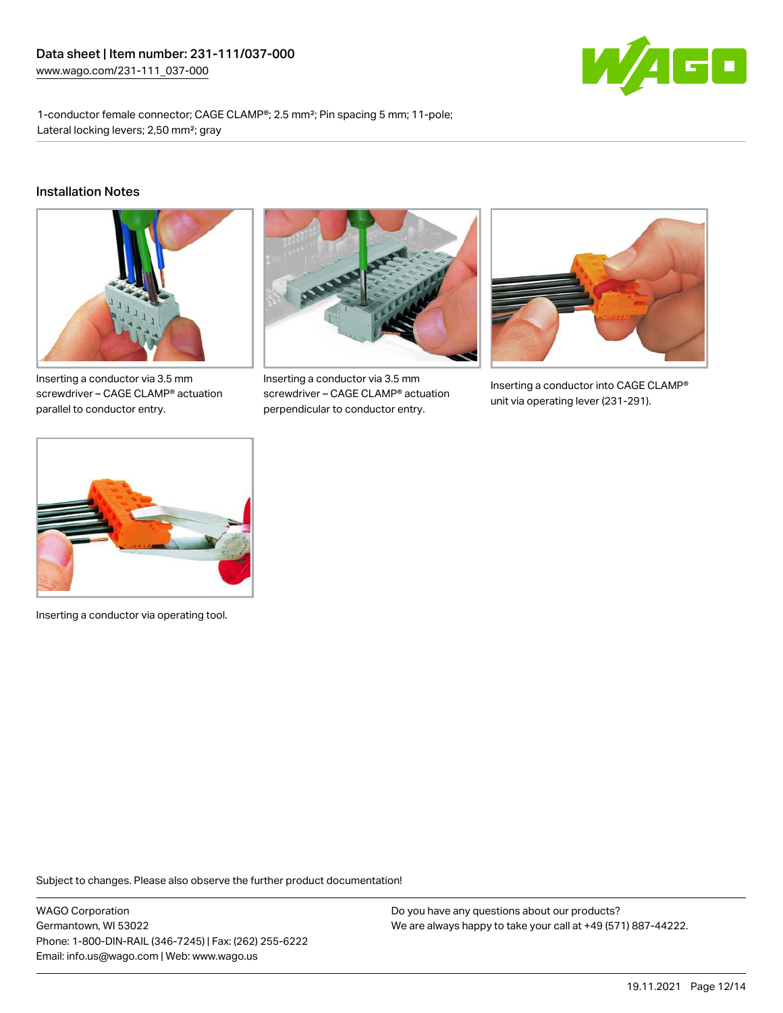

1-conductor female connector; CAGE CLAMP®; 2.5 mm²; Pin spacing 5 mm; 11-pole; Lateral locking levers; 2,50 mm²; gray

#### Installation Notes



Inserting a conductor via 3.5 mm screwdriver – CAGE CLAMP® actuation parallel to conductor entry.



Inserting a conductor via 3.5 mm screwdriver – CAGE CLAMP® actuation perpendicular to conductor entry.



Inserting a conductor into CAGE CLAMP® unit via operating lever (231-291).



Inserting a conductor via operating tool.

Subject to changes. Please also observe the further product documentation!

WAGO Corporation Germantown, WI 53022 Phone: 1-800-DIN-RAIL (346-7245) | Fax: (262) 255-6222 Email: info.us@wago.com | Web: www.wago.us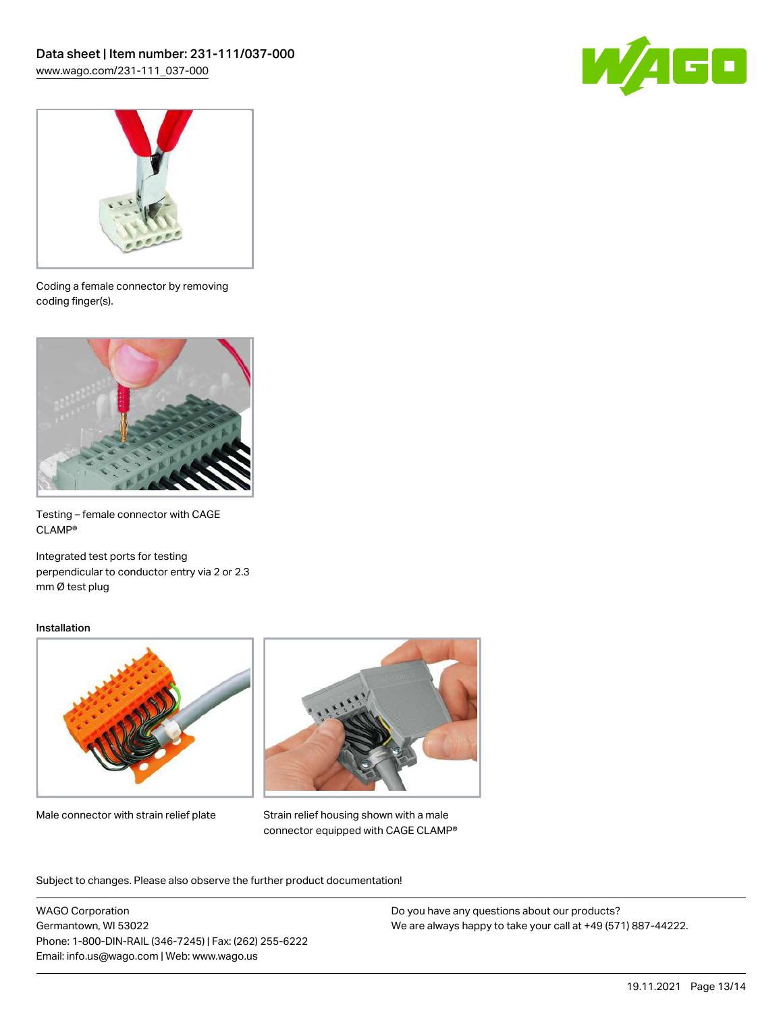



Coding a female connector by removing coding finger(s).



Testing – female connector with CAGE CLAMP®

Integrated test ports for testing perpendicular to conductor entry via 2 or 2.3 mm Ø test plug

#### Installation



Male connector with strain relief plate



Strain relief housing shown with a male connector equipped with CAGE CLAMP®

Subject to changes. Please also observe the further product documentation!

WAGO Corporation Germantown, WI 53022 Phone: 1-800-DIN-RAIL (346-7245) | Fax: (262) 255-6222 Email: info.us@wago.com | Web: www.wago.us